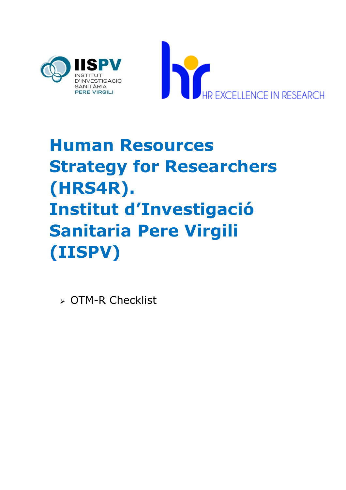



## **Human Resources Strategy for Researchers (HRS4R). Institut d'Investigació Sanitaria Pere Virgili (IISPV)**

OTM-R Checklist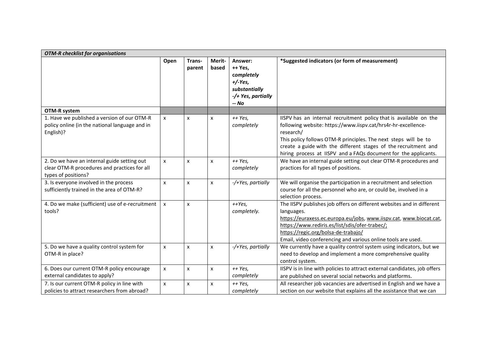| <b>OTM-R</b> checklist for organisations                                                                           |                           |                  |                  |                                                                                               |                                                                                                                                                                                                                                                                                                                                                          |
|--------------------------------------------------------------------------------------------------------------------|---------------------------|------------------|------------------|-----------------------------------------------------------------------------------------------|----------------------------------------------------------------------------------------------------------------------------------------------------------------------------------------------------------------------------------------------------------------------------------------------------------------------------------------------------------|
|                                                                                                                    | Open                      | Trans-<br>parent | Merit-<br>based  | Answer:<br>++ Yes,<br>completely<br>$+/-Yes,$<br>substantially<br>-/+ Yes, partially<br>-- No | *Suggested indicators (or form of measurement)                                                                                                                                                                                                                                                                                                           |
| <b>OTM-R system</b>                                                                                                |                           |                  |                  |                                                                                               |                                                                                                                                                                                                                                                                                                                                                          |
| 1. Have we published a version of our OTM-R<br>policy online (in the national language and in<br>English)?         | X                         | X                | X                | ++ Yes,<br>completely                                                                         | IISPV has an internal recruitment policy that is available on the<br>following website: https://www.iispv.cat/hrs4r-hr-excellence-<br>research/<br>This policy follows OTM-R principles. The next steps will be to<br>create a guide with the different stages of the recruitment and<br>hiring process at IISPV and a FAQs document for the applicants. |
| 2. Do we have an internal guide setting out<br>clear OTM-R procedures and practices for all<br>types of positions? | $\mathsf{x}$              | x                | x                | ++ Yes,<br>completely                                                                         | We have an internal guide setting out clear OTM-R procedures and<br>practices for all types of positions.                                                                                                                                                                                                                                                |
| 3. Is everyone involved in the process<br>sufficiently trained in the area of OTM-R?                               | $\boldsymbol{\mathsf{x}}$ | x                | x                | -/+Yes, partially                                                                             | We will organise the participation in a recruitment and selection<br>course for all the personnel who are, or could be, involved in a<br>selection process.                                                                                                                                                                                              |
| 4. Do we make (sufficient) use of e-recruitment<br>tools?                                                          | $\boldsymbol{\mathsf{x}}$ | x                |                  | $+$ Yes,<br>completely.                                                                       | The IISPV publishes job offers on different websites and in different<br>languages.<br>https://euraxess.ec.europa.eu/jobs, www.iispv.cat, www.biocat.cat,<br>https://www.rediris.es/list/sdis/ofer-trabec/;<br>https://regic.org/bolsa-de-trabajo/<br>Email, video conferencing and various online tools are used.                                       |
| 5. Do we have a quality control system for<br>OTM-R in place?                                                      | $\pmb{\times}$            | x                | x                | -/+Yes, partially                                                                             | We currently have a quality control system using indicators, but we<br>need to develop and implement a more comprehensive quality<br>control system.                                                                                                                                                                                                     |
| 6. Does our current OTM-R policy encourage<br>external candidates to apply?                                        | $\mathsf{x}$              | X                | X                | ++ Yes,<br>completely                                                                         | IISPV is in line with policies to attract external candidates, job offers<br>are published on several social networks and platforms.                                                                                                                                                                                                                     |
| 7. Is our current OTM-R policy in line with<br>policies to attract researchers from abroad?                        | $\pmb{\times}$            | x                | $\boldsymbol{x}$ | ++ Yes,<br>completely                                                                         | All researcher job vacancies are advertised in English and we have a<br>section on our website that explains all the assistance that we can                                                                                                                                                                                                              |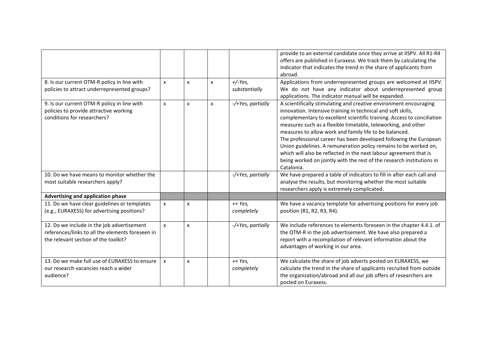| 8. Is our current OTM-R policy in line with                                                                                            | $\mathsf{x}$ | X | X | $+/-Yes$                | provide to an external candidate once they arrive at IISPV. All R1-R4<br>offers are published in Euraxess. We track them by calculating the<br>indicator that indicates the trend in the share of applicants from<br>abroad.<br>Applications from underrepresented groups are welcomed at IISPV.                                                                                                                                                                                                                                                                                                                                            |
|----------------------------------------------------------------------------------------------------------------------------------------|--------------|---|---|-------------------------|---------------------------------------------------------------------------------------------------------------------------------------------------------------------------------------------------------------------------------------------------------------------------------------------------------------------------------------------------------------------------------------------------------------------------------------------------------------------------------------------------------------------------------------------------------------------------------------------------------------------------------------------|
| policies to attract underrepresented groups?                                                                                           |              |   |   | substantially           | We do not have any indicator about underrepresented group<br>applications. The indicator manual will be expanded.                                                                                                                                                                                                                                                                                                                                                                                                                                                                                                                           |
| 9. Is our current OTM-R policy in line with<br>policies to provide attractive working<br>conditions for researchers?                   | X            | X | X | -/+Yes, partially       | A scientifically stimulating and creative environment encouraging<br>innovation. Intensive training in technical and soft skills,<br>complementary to excellent scientific training. Access to conciliation<br>measures such as a flexible timetable, teleworking, and other<br>measures to allow work and family life to be balanced.<br>The professional career has been developed following the European<br>Union guidelines. A remuneration policy remains to be worked on,<br>which will also be reflected in the next labour agreement that is<br>being worked on jointly with the rest of the research institutions in<br>Catalonia. |
| 10. Do we have means to monitor whether the<br>most suitable researchers apply?                                                        |              |   |   | -/+Yes, partially       | We have prepared a table of indicators to fill in after each call and<br>analyse the results, but monitoring whether the most suitable<br>researchers apply is extremely complicated.                                                                                                                                                                                                                                                                                                                                                                                                                                                       |
| <b>Advertising and application phase</b>                                                                                               |              |   |   |                         |                                                                                                                                                                                                                                                                                                                                                                                                                                                                                                                                                                                                                                             |
| 11. Do we have clear guidelines or templates<br>(e.g., EURAXESS) for advertising positions?                                            | $\mathsf{x}$ | X |   | $++ Yes,$<br>completely | We have a vacancy template for advertising positions for every job<br>position (R1, R2, R3, R4).                                                                                                                                                                                                                                                                                                                                                                                                                                                                                                                                            |
| 12. Do we include in the job advertisement<br>references/links to all the elements foreseen in<br>the relevant section of the toolkit? | $\mathsf{x}$ | x |   | -/+Yes, partially       | We include references to elements foreseen in the chapter 4.4.1. of<br>the OTM-R in the job advertisement. We have also prepared a<br>report with a recompilation of relevant information about the<br>advantages of working in our area.                                                                                                                                                                                                                                                                                                                                                                                                   |
| 13. Do we make full use of EURAXESS to ensure<br>our research vacancies reach a wider<br>audience?                                     | X            | X |   | $++ Yes,$<br>completely | We calculate the share of job adverts posted on EURAXESS, we<br>calculate the trend in the share of applicants recruited from outside<br>the organization/abroad and all our job offers of researchers are<br>posted on Euraxess.                                                                                                                                                                                                                                                                                                                                                                                                           |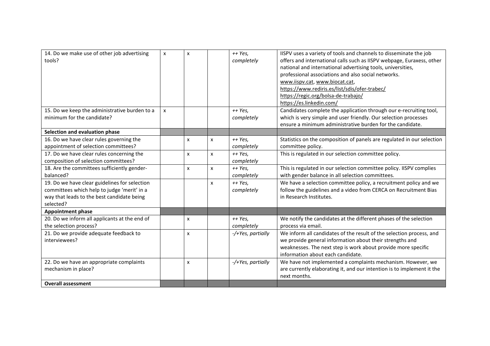| 14. Do we make use of other job advertising<br>tools?                                                                                                   | X | x |                | $++ Yes,$<br>completely | IISPV uses a variety of tools and channels to disseminate the job<br>offers and international calls such as IISPV webpage, Euraxess, other<br>national and international advertising tools, universities,<br>professional associations and also social networks.<br>www.iispv.cat, www.biocat.cat,<br>https://www.rediris.es/list/sdis/ofer-trabec/<br>https://regic.org/bolsa-de-trabajo/<br>https://es.linkedin.com/ |
|---------------------------------------------------------------------------------------------------------------------------------------------------------|---|---|----------------|-------------------------|------------------------------------------------------------------------------------------------------------------------------------------------------------------------------------------------------------------------------------------------------------------------------------------------------------------------------------------------------------------------------------------------------------------------|
| 15. Do we keep the administrative burden to a<br>minimum for the candidate?                                                                             | X |   |                | $++ Yes,$<br>completely | Candidates complete the application through our e-recruiting tool,<br>which is very simple and user friendly. Our selection processes<br>ensure a minimum administrative burden for the candidate.                                                                                                                                                                                                                     |
| Selection and evaluation phase                                                                                                                          |   |   |                |                         |                                                                                                                                                                                                                                                                                                                                                                                                                        |
| 16. Do we have clear rules governing the<br>appointment of selection committees?                                                                        |   | x | X              | $++ Yes,$<br>completely | Statistics on the composition of panels are regulated in our selection<br>committee policy.                                                                                                                                                                                                                                                                                                                            |
| 17. Do we have clear rules concerning the<br>composition of selection committees?                                                                       |   | x | $\pmb{\times}$ | $++ Yes,$<br>completely | This is regulated in our selection committee policy.                                                                                                                                                                                                                                                                                                                                                                   |
| 18. Are the committees sufficiently gender-<br>balanced?                                                                                                |   | x | $\pmb{\times}$ | ++ Yes,<br>completely   | This is regulated in our selection committee policy. IISPV complies<br>with gender balance in all selection committees.                                                                                                                                                                                                                                                                                                |
| 19. Do we have clear guidelines for selection<br>committees which help to judge 'merit' in a<br>way that leads to the best candidate being<br>selected? |   |   | X              | $++ Yes,$<br>completely | We have a selection committee policy, a recruitment policy and we<br>follow the guidelines and a video from CERCA on Recruitment Bias<br>in Research Institutes.                                                                                                                                                                                                                                                       |
| <b>Appointment phase</b>                                                                                                                                |   |   |                |                         |                                                                                                                                                                                                                                                                                                                                                                                                                        |
| 20. Do we inform all applicants at the end of<br>the selection process?                                                                                 |   | x |                | ++ Yes,<br>completely   | We notify the candidates at the different phases of the selection<br>process via email.                                                                                                                                                                                                                                                                                                                                |
| 21. Do we provide adequate feedback to<br>interviewees?                                                                                                 |   | x |                | -/+Yes, partially       | We inform all candidates of the result of the selection process, and<br>we provide general information about their strengths and<br>weaknesses. The next step is work about provide more specific<br>information about each candidate.                                                                                                                                                                                 |
| 22. Do we have an appropriate complaints<br>mechanism in place?                                                                                         |   | x |                | -/+Yes, partially       | We have not implemented a complaints mechanism. However, we<br>are currently elaborating it, and our intention is to implement it the<br>next months.                                                                                                                                                                                                                                                                  |
| <b>Overall assessment</b>                                                                                                                               |   |   |                |                         |                                                                                                                                                                                                                                                                                                                                                                                                                        |